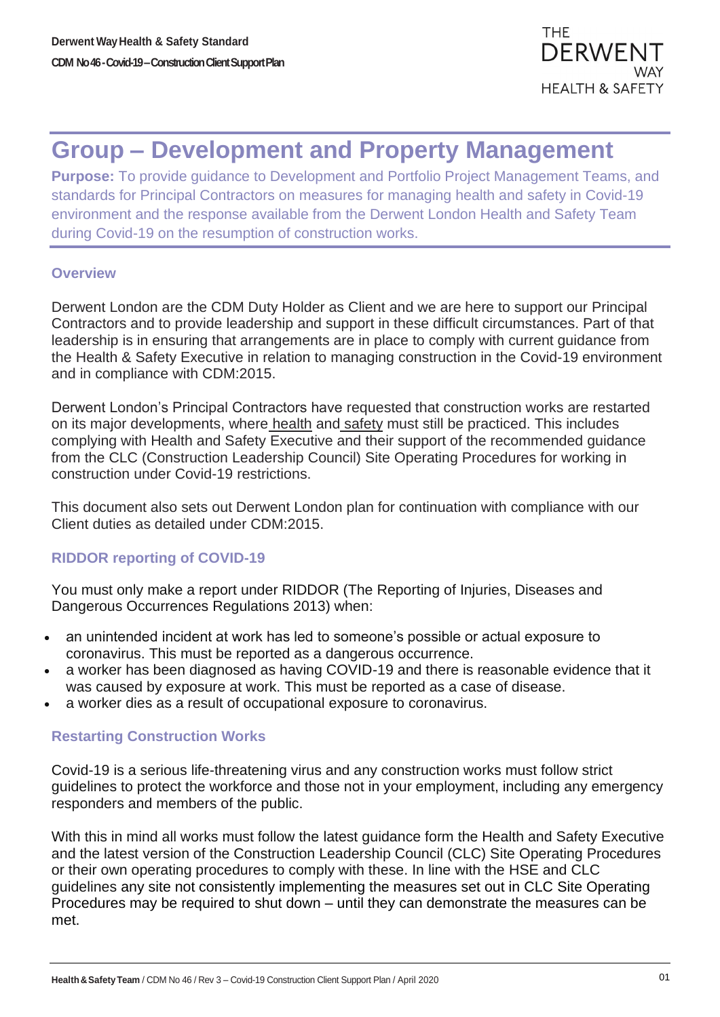# **Group – Development and Property Management**

**Purpose:** To provide guidance to Development and Portfolio Project Management Teams, and standards for Principal Contractors on measures for managing health and safety in Covid-19 environment and the response available from the Derwent London Health and Safety Team during Covid-19 on the resumption of construction works.

## **Overview**

Derwent London are the CDM Duty Holder as Client and we are here to support our Principal Contractors and to provide leadership and support in these difficult circumstances. Part of that leadership is in ensuring that arrangements are in place to comply with current guidance from the Health & Safety Executive in relation to managing construction in the Covid-19 environment and in compliance with CDM:2015.

Derwent London's Principal Contractors have requested that construction works are restarted on its major developments, where health and safety must still be practiced. This includes complying with Health and Safety Executive and their support of the recommended guidance from the CLC (Construction Leadership Council) Site Operating Procedures for working in construction under Covid-19 restrictions.

This document also sets out Derwent London plan for continuation with compliance with our Client duties as detailed under CDM:2015.

## **RIDDOR reporting of COVID-19**

You must only make a report under RIDDOR (The Reporting of Injuries, Diseases and Dangerous Occurrences Regulations 2013) when:

- an unintended incident at work has led to someone's possible or actual exposure to coronavirus. This must be reported as a dangerous occurrence.
- a worker has been diagnosed as having COVID-19 and there is reasonable evidence that it was caused by exposure at work. This must be reported as a case of disease.
- a worker dies as a result of occupational exposure to coronavirus.

## **Restarting Construction Works**

Covid-19 is a serious life-threatening virus and any construction works must follow strict guidelines to protect the workforce and those not in your employment, including any emergency responders and members of the public.

With this in mind all works must follow the latest guidance form the Health and Safety Executive and the latest version of the Construction Leadership Council (CLC) Site Operating Procedures or their own operating procedures to comply with these. In line with the HSE and CLC guidelines any site not consistently implementing the measures set out in CLC Site Operating Procedures may be required to shut down – until they can demonstrate the measures can be met.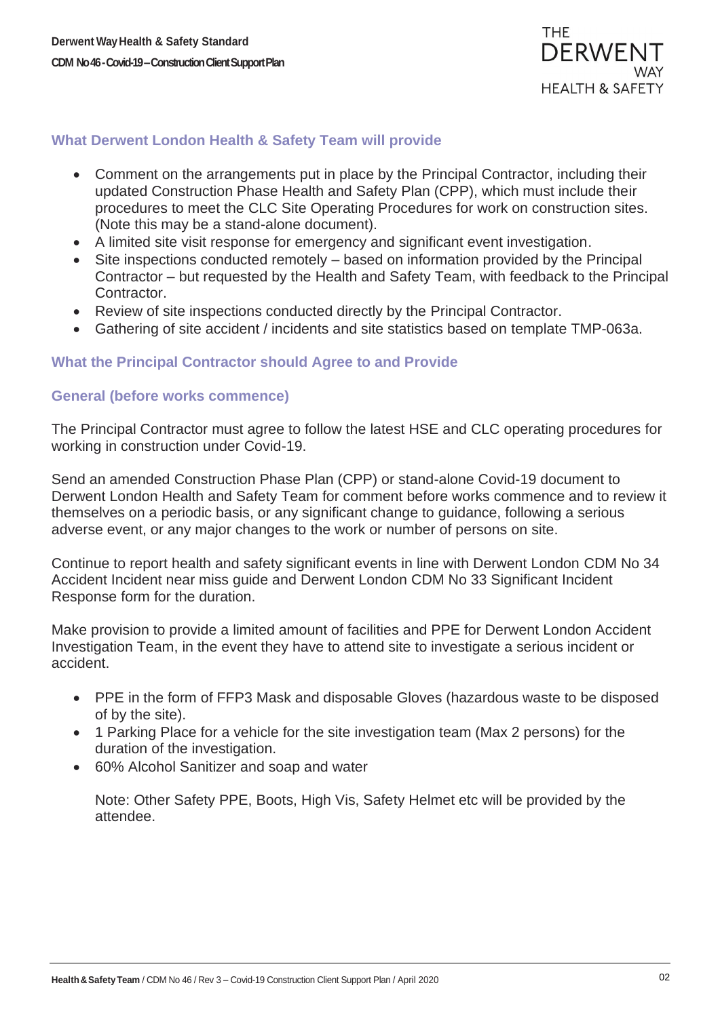

## **What Derwent London Health & Safety Team will provide**

- Comment on the arrangements put in place by the Principal Contractor, including their updated Construction Phase Health and Safety Plan (CPP), which must include their procedures to meet the CLC Site Operating Procedures for work on construction sites. (Note this may be a stand-alone document).
- A limited site visit response for emergency and significant event investigation.
- Site inspections conducted remotely based on information provided by the Principal Contractor – but requested by the Health and Safety Team, with feedback to the Principal Contractor.
- Review of site inspections conducted directly by the Principal Contractor.
- Gathering of site accident / incidents and site statistics based on template TMP-063a.

#### **What the Principal Contractor should Agree to and Provide**

#### **General (before works commence)**

The Principal Contractor must agree to follow the latest HSE and CLC operating procedures for working in construction under Covid-19.

Send an amended Construction Phase Plan (CPP) or stand-alone Covid-19 document to Derwent London Health and Safety Team for comment before works commence and to review it themselves on a periodic basis, or any significant change to guidance, following a serious adverse event, or any major changes to the work or number of persons on site.

Continue to report health and safety significant events in line with Derwent London CDM No 34 Accident Incident near miss guide and Derwent London CDM No 33 Significant Incident Response form for the duration.

Make provision to provide a limited amount of facilities and PPE for Derwent London Accident Investigation Team, in the event they have to attend site to investigate a serious incident or accident.

- PPE in the form of FFP3 Mask and disposable Gloves (hazardous waste to be disposed of by the site).
- 1 Parking Place for a vehicle for the site investigation team (Max 2 persons) for the duration of the investigation.
- 60% Alcohol Sanitizer and soap and water

Note: Other Safety PPE, Boots, High Vis, Safety Helmet etc will be provided by the attendee.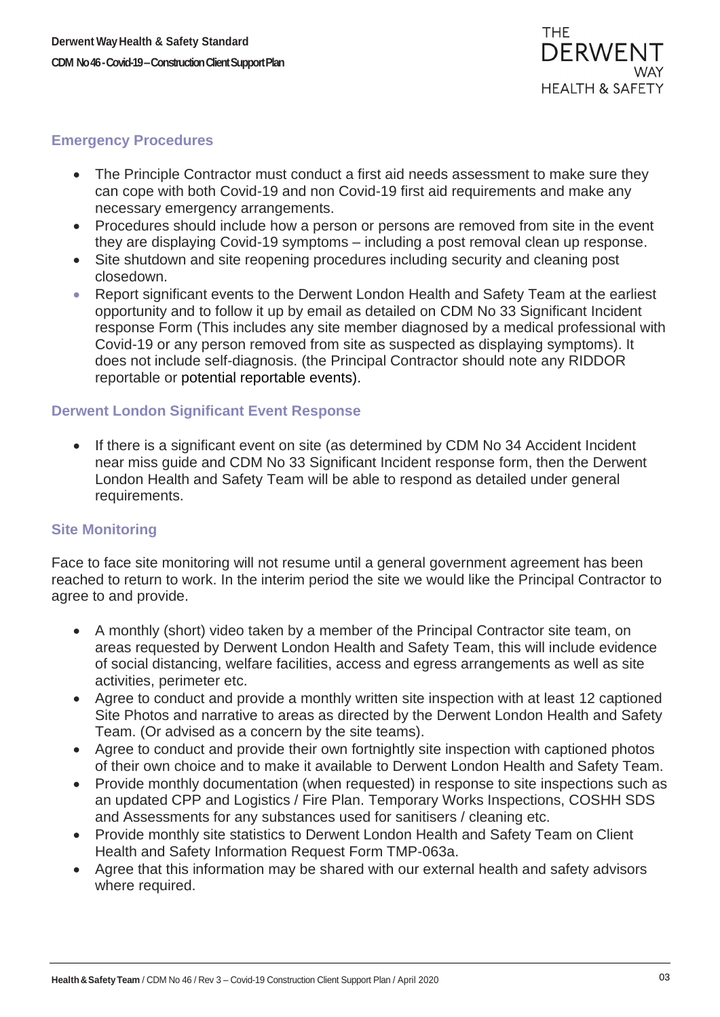#### **Emergency Procedures**

- The Principle Contractor must conduct a first aid needs assessment to make sure they can cope with both Covid-19 and non Covid-19 first aid requirements and make any necessary emergency arrangements.
- Procedures should include how a person or persons are removed from site in the event they are displaying Covid-19 symptoms – including a post removal clean up response.
- Site shutdown and site reopening procedures including security and cleaning post closedown.
- Report significant events to the Derwent London Health and Safety Team at the earliest opportunity and to follow it up by email as detailed on CDM No 33 Significant Incident response Form (This includes any site member diagnosed by a medical professional with Covid-19 or any person removed from site as suspected as displaying symptoms). It does not include self-diagnosis. (the Principal Contractor should note any RIDDOR reportable or potential reportable events).

## **Derwent London Significant Event Response**

• If there is a significant event on site (as determined by CDM No 34 Accident Incident near miss guide and CDM No 33 Significant Incident response form, then the Derwent London Health and Safety Team will be able to respond as detailed under general requirements.

#### **Site Monitoring**

Face to face site monitoring will not resume until a general government agreement has been reached to return to work. In the interim period the site we would like the Principal Contractor to agree to and provide.

- A monthly (short) video taken by a member of the Principal Contractor site team, on areas requested by Derwent London Health and Safety Team, this will include evidence of social distancing, welfare facilities, access and egress arrangements as well as site activities, perimeter etc.
- Agree to conduct and provide a monthly written site inspection with at least 12 captioned Site Photos and narrative to areas as directed by the Derwent London Health and Safety Team. (Or advised as a concern by the site teams).
- Agree to conduct and provide their own fortnightly site inspection with captioned photos of their own choice and to make it available to Derwent London Health and Safety Team.
- Provide monthly documentation (when requested) in response to site inspections such as an updated CPP and Logistics / Fire Plan. Temporary Works Inspections, COSHH SDS and Assessments for any substances used for sanitisers / cleaning etc.
- Provide monthly site statistics to Derwent London Health and Safety Team on Client Health and Safety Information Request Form TMP-063a.
- Agree that this information may be shared with our external health and safety advisors where required.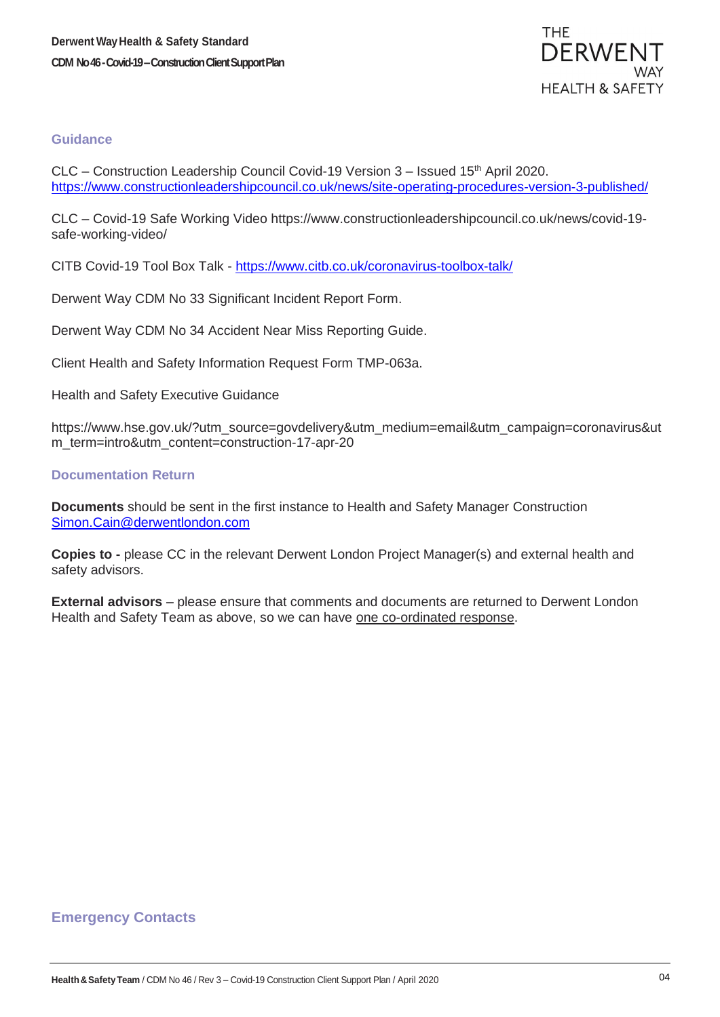#### **Guidance**

CLC – Construction Leadership Council Covid-19 Version 3 – Issued 15<sup>th</sup> April 2020. <https://www.constructionleadershipcouncil.co.uk/news/site-operating-procedures-version-3-published/>

CLC – Covid-19 Safe Working Video https://www.constructionleadershipcouncil.co.uk/news/covid-19 safe-working-video/

CITB Covid-19 Tool Box Talk - [https://www.citb.co.uk/coronavirus-toolbox-talk/](https://protect-eu.mimecast.com/s/QNBjCBB6MT7B93khz_a_i?domain=citb.co.uk/)

Derwent Way CDM No 33 Significant Incident Report Form.

Derwent Way CDM No 34 Accident Near Miss Reporting Guide.

Client Health and Safety Information Request Form TMP-063a.

Health and Safety Executive Guidance

https://www.hse.gov.uk/?utm\_source=govdelivery&utm\_medium=email&utm\_campaign=coronavirus&ut m\_term=intro&utm\_content=construction-17-apr-20

#### **Documentation Return**

**Documents** should be sent in the first instance to Health and Safety Manager Construction [Simon.Cain@derwentlondon.com](mailto:Simon.Cain@derwentlondon.com)

**Copies to -** please CC in the relevant Derwent London Project Manager(s) and external health and safety advisors.

**External advisors** – please ensure that comments and documents are returned to Derwent London Health and Safety Team as above, so we can have one co-ordinated response.

#### **Emergency Contacts**